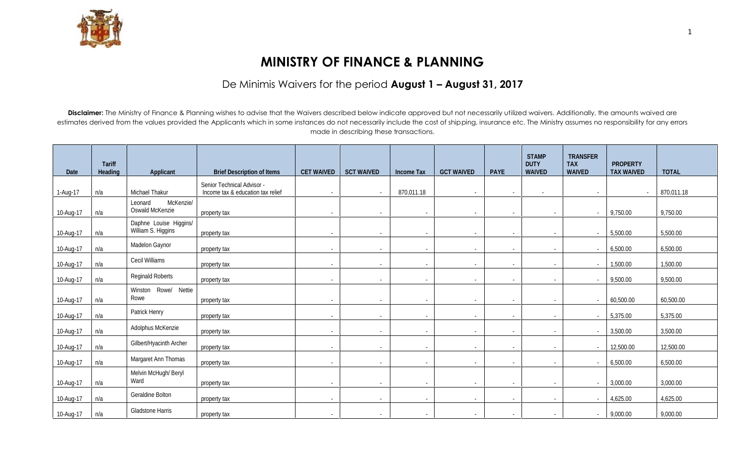

## **MINISTRY OF FINANCE & PLANNING**

## De Minimis Waivers for the period **August 1 – August 31, 2017**

Disclaimer: The Ministry of Finance & Planning wishes to advise that the Waivers described below indicate approved but not necessarily utilized waivers. Additionally, the amounts waived are estimates derived from the values provided the Applicants which in some instances do not necessarily include the cost of shipping, insurance etc. The Ministry assumes no responsibility for any errors made in describing these transactions.

|           | <b>Tariff</b>  |                                              |                                                                 |                          |                          |                          |                          |                          | <b>STAMP</b><br><b>DUTY</b> | <b>TRANSFER</b><br><b>TAX</b> | <b>PROPERTY</b>   |              |
|-----------|----------------|----------------------------------------------|-----------------------------------------------------------------|--------------------------|--------------------------|--------------------------|--------------------------|--------------------------|-----------------------------|-------------------------------|-------------------|--------------|
| Date      | <b>Heading</b> | <b>Applicant</b>                             | <b>Brief Description of Items</b>                               | <b>CET WAIVED</b>        | <b>SCT WAIVED</b>        | <b>Income Tax</b>        | <b>GCT WAIVED</b>        | <b>PAYE</b>              | <b>WAIVED</b>               | <b>WAIVED</b>                 | <b>TAX WAIVED</b> | <b>TOTAL</b> |
| 1-Aug-17  | n/a            | Michael Thakur                               | Senior Technical Advisor -<br>Income tax & education tax relief | $\sim$                   | $\sim$                   | 870,011.18               | $\sim$                   | $\sim$                   | $\blacksquare$              | $\sim$                        | $\sim$            | 870,011.18   |
| 10-Aug-17 | n/a            | McKenzie/<br>Leonard<br>Oswald McKenzie      | property tax                                                    | $\sim$                   |                          | $\overline{\phantom{a}}$ | $\overline{\phantom{a}}$ | $\overline{\phantom{a}}$ | $\overline{\phantom{a}}$    |                               | 9,750.00          | 9,750.00     |
| 10-Aug-17 | n/a            | Daphne Louise Higgins/<br>William S. Higgins | property tax                                                    | $\sim$                   | $\sim$                   | $\overline{\phantom{a}}$ | $\overline{\phantom{a}}$ | $\sim$                   | $\sim$                      | $\sim$                        | 5,500.00          | 5,500.00     |
| 10-Aug-17 | n/a            | Madelon Gaynor                               | property tax                                                    | $\sim$                   | $\sim$                   | ٠                        | $\overline{\phantom{a}}$ | ٠                        | $\sim$                      | $\blacksquare$                | 6,500.00          | 6,500.00     |
| 10-Aug-17 | n/a            | Cecil Williams                               | property tax                                                    | $\sim$                   | $\sim$                   | $\blacksquare$           | $\blacksquare$           | ٠                        | $\sim$                      |                               | 1,500.00          | 1,500.00     |
| 10-Aug-17 | n/a            | <b>Reginald Roberts</b>                      | property tax                                                    | $\sim$                   | $\overline{\phantom{a}}$ | $\overline{\phantom{a}}$ | $\overline{\phantom{a}}$ | $\overline{\phantom{a}}$ | $\sim$                      | $\blacksquare$                | 9,500.00          | 9,500.00     |
| 10-Aug-17 | n/a            | Winston Rowe/ Nettie<br>Rowe                 | property tax                                                    | $\sim$                   | $\sim$                   | $\sim$                   | $\overline{\phantom{a}}$ | $\blacksquare$           | $\sim$                      | $\sim$                        | 60,500.00         | 60,500.00    |
| 10-Aug-17 | n/a            | Patrick Henry                                | property tax                                                    | $\overline{\phantom{a}}$ | $\sim$                   | -                        | $\overline{\phantom{a}}$ | ٠                        | $\sim$                      |                               | 5,375.00          | 5,375.00     |
| 10-Aug-17 | n/a            | Adolphus McKenzie                            | property tax                                                    | $\sim$                   | $\sim$                   | $\sim$                   | $\overline{\phantom{a}}$ | $\blacksquare$           | $\sim$                      | $\sim$                        | 3,500.00          | 3,500.00     |
| 10-Aug-17 | n/a            | Gilbert/Hyacinth Archer                      | property tax                                                    | $\sim$                   | $\sim$                   | $\overline{\phantom{a}}$ | $\overline{\phantom{a}}$ | $\overline{\phantom{a}}$ | $\sim$                      | $\sim$                        | 12,500.00         | 12,500.00    |
| 10-Aug-17 | n/a            | Margaret Ann Thomas                          | property tax                                                    | $\sim$                   | $\sim$                   | $\sim$                   | $\overline{\phantom{a}}$ | $\sim$                   | $\sim$                      | $\sim$                        | 6,500.00          | 6,500.00     |
| 10-Aug-17 | n/a            | Melvin McHugh/Beryl<br>Ward                  | property tax                                                    | $\sim$                   | $\sim$                   | $\sim$                   | $\blacksquare$           | $\blacksquare$           | $\sim$                      | $\sim$                        | 3,000.00          | 3,000.00     |
| 10-Aug-17 | n/a            | Geraldine Bolton                             | property tax                                                    | $\sim$                   | $\sim$                   | $\sim$                   | $\overline{\phantom{a}}$ | ٠                        | $\sim$                      | $\sim$                        | 4,625.00          | 4,625.00     |
| 10-Aug-17 | n/a            | Gladstone Harris                             | property tax                                                    | $\sim$                   | $\sim$                   | $\sim$                   | $\blacksquare$           | $\sim$                   | $\sim$                      | $\sim$                        | 9,000.00          | 9,000.00     |